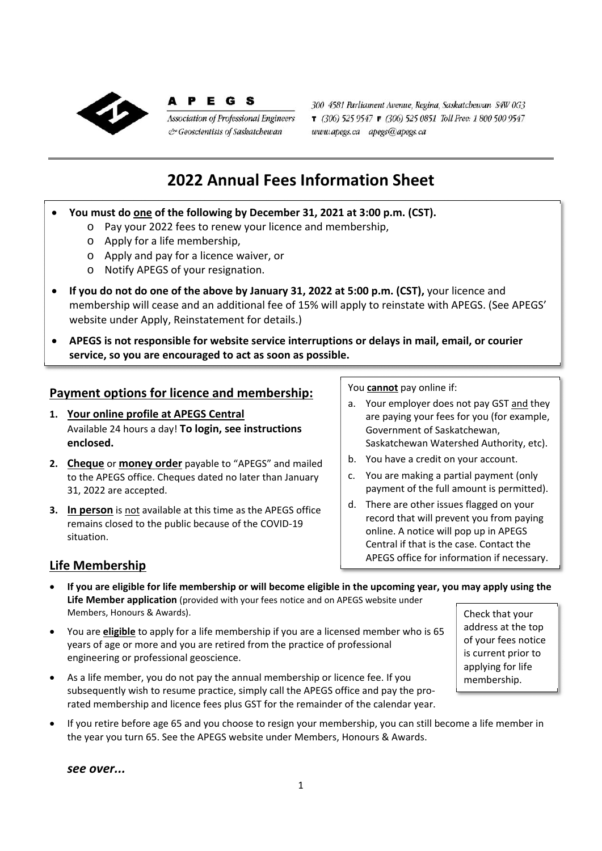

E G S **Association of Professional Engineers** & Geoscientists of Saskatchewan

300 4581 Parliament Avenue, Regina, Saskatchewan S4W 0G3 T (306) 525 9547 F (306) 525 0851 Toll Free: 1 800 500 9547 www.apegs.ca apegs@apegs.ca

# **2022 Annual Fees Information Sheet**

- **You must do one of the following by December 31, 2021 at 3:00 p.m. (CST).** 
	- o Pay your 2022 fees to renew your licence and membership,
		- o Apply for a life membership,
		- o Apply and pay for a licence waiver, or
		- o Notify APEGS of your resignation.
- **If you do not do one of the above by January 31, 2022 at 5:00 p.m. (CST),** your licence and membership will cease and an additional fee of 15% will apply to reinstate with APEGS. (See APEGS' website under Apply, Reinstatement for details.)
- **APEGS is not responsible for website service interruptions or delays in mail, email, or courier service, so you are encouraged to act as soon as possible.**

#### **Payment options for licence and membership:**

- **1. Your online profile at APEGS Central** Available 24 hours a day! **To login, see instructions enclosed.**
- **2. Cheque** or **money order** payable to "APEGS" and mailed to the APEGS office. Cheques dated no later than January 31, 2022 are accepted.
- **3. In person** is not available at this time as the APEGS office remains closed to the public because of the COVID‐19 situation.

You **cannot** pay online if:

- a. Your employer does not pay GST and they are paying your fees for you (for example, Government of Saskatchewan, Saskatchewan Watershed Authority, etc).
- b. You have a credit on your account.
- c. You are making a partial payment (only payment of the full amount is permitted).
- d. There are other issues flagged on your record that will prevent you from paying online. A notice will pop up in APEGS Central if that is the case. Contact the APEGS office for information if necessary.

#### **Life Membership**

- **If you are eligible for life membership or will become eligible in the upcoming year, you may apply using the Life Member application** (provided with your fees notice and on APEGS website under Members, Honours & Awards).
- You are **eligible** to apply for a life membership if you are a licensed member who is 65 years of age or more and you are retired from the practice of professional engineering or professional geoscience.
- As a life member, you do not pay the annual membership or licence fee. If you subsequently wish to resume practice, simply call the APEGS office and pay the pro‐ rated membership and licence fees plus GST for the remainder of the calendar year.
- Check that your address at the top of your fees notice is current prior to applying for life membership.
- If you retire before age 65 and you choose to resign your membership, you can still become a life member in the year you turn 65. See the APEGS website under Members, Honours & Awards.

*see over...*